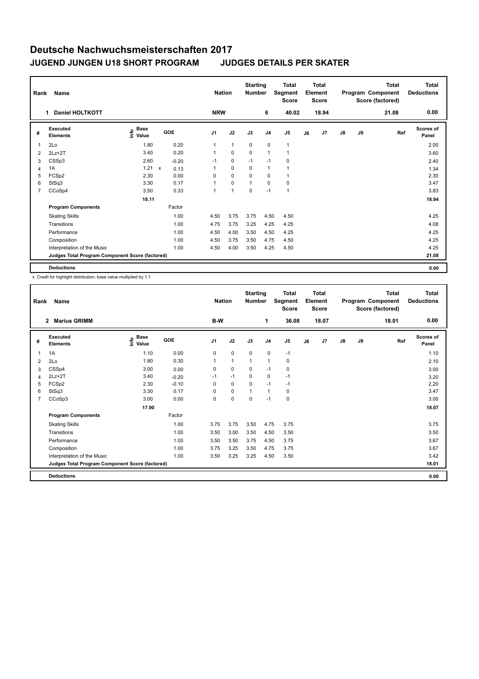| Rank           | Name                                            | <b>Nation</b>                               |                      | <b>Starting</b><br><b>Number</b> |              | <b>Total</b><br>Segment<br><b>Score</b> | <b>Total</b><br>Element<br><b>Score</b> |                |    |       | <b>Total</b><br>Program Component<br>Score (factored) | Total<br><b>Deductions</b> |       |                    |
|----------------|-------------------------------------------------|---------------------------------------------|----------------------|----------------------------------|--------------|-----------------------------------------|-----------------------------------------|----------------|----|-------|-------------------------------------------------------|----------------------------|-------|--------------------|
|                | <b>Daniel HOLTKOTT</b><br>1                     |                                             |                      | <b>NRW</b>                       |              |                                         | 6                                       | 40.02          |    | 18.94 |                                                       |                            | 21.08 | 0.00               |
| #              | Executed<br><b>Elements</b>                     | <b>Base</b><br>e <sup>Base</sup><br>⊆ Value | GOE                  | J <sub>1</sub>                   | J2           | J3                                      | J <sub>4</sub>                          | J <sub>5</sub> | J6 | J7    | $\mathsf{J}8$                                         | J9                         | Ref   | Scores of<br>Panel |
| 1              | 2Lo                                             | 1.80                                        | 0.20                 | $\mathbf{1}$                     | $\mathbf{1}$ | $\mathbf 0$                             | $\mathbf 0$                             | $\mathbf{1}$   |    |       |                                                       |                            |       | 2.00               |
| 2              | $2Lz+2T$                                        | 3.40                                        | 0.20                 | 1                                | $\mathbf 0$  | $\mathbf 0$                             | $\overline{1}$                          | $\mathbf{1}$   |    |       |                                                       |                            |       | 3.60               |
| 3              | CSSp3                                           | 2.60                                        | $-0.20$              | $-1$                             | $\mathbf 0$  | $-1$                                    | $-1$                                    | 0              |    |       |                                                       |                            |       | 2.40               |
| 4              | 1A                                              | 1.21                                        | $\mathsf{x}$<br>0.13 | $\mathbf{1}$                     | $\mathbf 0$  | 0                                       | $\mathbf{1}$                            | $\mathbf{1}$   |    |       |                                                       |                            |       | 1.34               |
| 5              | FCSp2                                           | 2.30                                        | 0.00                 | 0                                | $\mathbf 0$  | $\Omega$                                | 0                                       | 1              |    |       |                                                       |                            |       | 2.30               |
| 6              | StSq3                                           | 3.30                                        | 0.17                 | 1                                | $\mathbf 0$  | 1                                       | $\Omega$                                | 0              |    |       |                                                       |                            |       | 3.47               |
| $\overline{7}$ | CCoSp4                                          | 3.50                                        | 0.33                 | $\mathbf{1}$                     | 1            | $\mathbf 0$                             | $-1$                                    | $\overline{1}$ |    |       |                                                       |                            |       | 3.83               |
|                |                                                 | 18.11                                       |                      |                                  |              |                                         |                                         |                |    |       |                                                       |                            |       | 18.94              |
|                | <b>Program Components</b>                       |                                             | Factor               |                                  |              |                                         |                                         |                |    |       |                                                       |                            |       |                    |
|                | <b>Skating Skills</b>                           |                                             | 1.00                 | 4.50                             | 3.75         | 3.75                                    | 4.50                                    | 4.50           |    |       |                                                       |                            |       | 4.25               |
|                | Transitions                                     |                                             | 1.00                 | 4.75                             | 3.75         | 3.25                                    | 4.25                                    | 4.25           |    |       |                                                       |                            |       | 4.08               |
|                | Performance                                     |                                             | 1.00                 | 4.50                             | 4.00         | 3.50                                    | 4.50                                    | 4.25           |    |       |                                                       |                            |       | 4.25               |
|                | Composition                                     |                                             | 1.00                 | 4.50                             | 3.75         | 3.50                                    | 4.75                                    | 4.50           |    |       |                                                       |                            |       | 4.25               |
|                | Interpretation of the Music                     |                                             | 1.00                 | 4.50                             | 4.00         | 3.50                                    | 4.25                                    | 4.50           |    |       |                                                       |                            |       | 4.25               |
|                | Judges Total Program Component Score (factored) |                                             |                      |                                  |              |                                         |                                         |                |    |       |                                                       |                            |       | 21.08              |
|                | <b>Deductions</b>                               |                                             |                      |                                  |              |                                         |                                         |                |    |       |                                                       |                            |       | 0.00               |

x Credit for highlight distribution, base value multiplied by 1.1

|                | Name<br>Rank                                    |                            |            |                | <b>Nation</b> | <b>Starting</b><br><b>Number</b> |                | <b>Total</b><br><b>Total</b><br>Segment<br>Element<br><b>Score</b><br><b>Score</b> |    |       | <b>Total</b><br>Program Component<br>Score (factored) |    |       | <b>Total</b><br><b>Deductions</b> |
|----------------|-------------------------------------------------|----------------------------|------------|----------------|---------------|----------------------------------|----------------|------------------------------------------------------------------------------------|----|-------|-------------------------------------------------------|----|-------|-----------------------------------|
|                | <b>Marius GRIMM</b><br>$\mathbf{2}$             |                            |            | B-W            |               |                                  | 1              | 36.08                                                                              |    | 18.07 |                                                       |    | 18.01 | 0.00                              |
| #              | Executed<br><b>Elements</b>                     | e Base<br>E Value<br>Value | <b>GOE</b> | J <sub>1</sub> | J2            | J3                               | J <sub>4</sub> | J5                                                                                 | J6 | J7    | $\mathsf{J}8$                                         | J9 | Ref   | <b>Scores of</b><br>Panel         |
| 1              | 1A                                              | 1.10                       | 0.00       | 0              | $\pmb{0}$     | $\mathbf 0$                      | $\pmb{0}$      | $-1$                                                                               |    |       |                                                       |    |       | 1.10                              |
| 2              | 2Lo                                             | 1.80                       | 0.30       | 1              | $\mathbf{1}$  | $\mathbf{1}$                     | $\mathbf{1}$   | $\mathbf 0$                                                                        |    |       |                                                       |    |       | 2.10                              |
| 3              | CSSp4                                           | 3.00                       | 0.00       | 0              | $\mathbf 0$   | $\Omega$                         | $-1$           | 0                                                                                  |    |       |                                                       |    |       | 3.00                              |
| 4              | $2Lz+2T$                                        | 3.40                       | $-0.20$    | $-1$           | $-1$          | $\mathbf 0$                      | $\mathbf 0$    | $-1$                                                                               |    |       |                                                       |    |       | 3.20                              |
| 5              | FCSp2                                           | 2.30                       | $-0.10$    | $\Omega$       | $\mathbf 0$   | $\Omega$                         | $-1$           | $-1$                                                                               |    |       |                                                       |    |       | 2.20                              |
| 6              | StSq3                                           | 3.30                       | 0.17       | 0              | 0             | 1                                | $\mathbf{1}$   | $\mathbf 0$                                                                        |    |       |                                                       |    |       | 3.47                              |
| $\overline{7}$ | CCoSp3                                          | 3.00                       | 0.00       | 0              | $\mathbf 0$   | $\mathbf 0$                      | $-1$           | $\pmb{0}$                                                                          |    |       |                                                       |    |       | 3.00                              |
|                |                                                 | 17.90                      |            |                |               |                                  |                |                                                                                    |    |       |                                                       |    |       | 18.07                             |
|                | <b>Program Components</b>                       |                            | Factor     |                |               |                                  |                |                                                                                    |    |       |                                                       |    |       |                                   |
|                | <b>Skating Skills</b>                           |                            | 1.00       | 3.75           | 3.75          | 3.50                             | 4.75           | 3.75                                                                               |    |       |                                                       |    |       | 3.75                              |
|                | Transitions                                     |                            | 1.00       | 3.50           | 3.00          | 3.50                             | 4.50           | 3.50                                                                               |    |       |                                                       |    |       | 3.50                              |
|                | Performance                                     |                            | 1.00       | 3.50           | 3.50          | 3.75                             | 4.50           | 3.75                                                                               |    |       |                                                       |    |       | 3.67                              |
|                | Composition                                     |                            | 1.00       | 3.75           | 3.25          | 3.50                             | 4.75           | 3.75                                                                               |    |       |                                                       |    |       | 3.67                              |
|                | Interpretation of the Music                     |                            | 1.00       | 3.50           | 3.25          | 3.25                             | 4.50           | 3.50                                                                               |    |       |                                                       |    |       | 3.42                              |
|                | Judges Total Program Component Score (factored) |                            |            |                |               |                                  |                |                                                                                    |    |       |                                                       |    |       | 18.01                             |
|                | <b>Deductions</b>                               |                            |            |                |               |                                  |                |                                                                                    |    |       |                                                       |    |       | 0.00                              |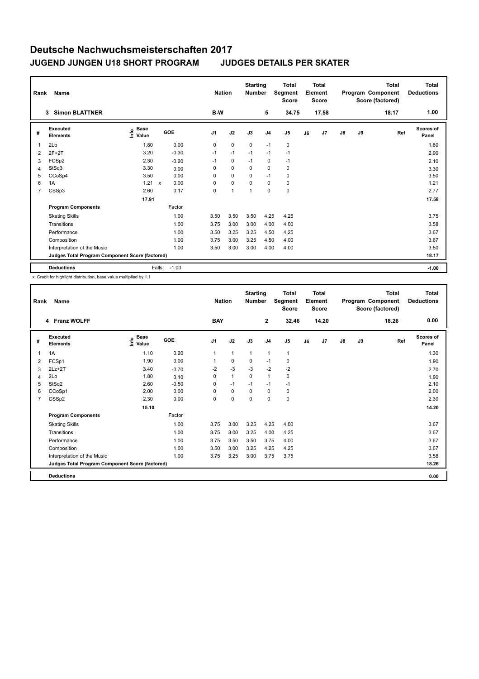|                                                 | Name<br>Rank                |                                             |                   |         |                | <b>Nation</b> | <b>Starting</b><br><b>Number</b> |                | <b>Total</b><br>Segment<br><b>Score</b> | <b>Total</b><br>Element<br><b>Score</b> |       | Program Component<br>Score (factored) |       | <b>Total</b> | <b>Total</b><br><b>Deductions</b> |
|-------------------------------------------------|-----------------------------|---------------------------------------------|-------------------|---------|----------------|---------------|----------------------------------|----------------|-----------------------------------------|-----------------------------------------|-------|---------------------------------------|-------|--------------|-----------------------------------|
|                                                 | <b>Simon BLATTNER</b><br>3  |                                             |                   |         | B-W            |               |                                  | 5              | 34.75                                   |                                         | 17.58 |                                       |       | 18.17        | 1.00                              |
| #                                               | Executed<br><b>Elements</b> | <b>Base</b><br>e <sup>Base</sup><br>⊆ Value | GOE               |         | J <sub>1</sub> | J2            | J3                               | J <sub>4</sub> | J <sub>5</sub>                          | J6                                      | J7    | J8                                    | J9    | Ref          | <b>Scores of</b><br>Panel         |
| 1                                               | 2Lo                         | 1.80                                        |                   | 0.00    | 0              | $\mathbf 0$   | 0                                | $-1$           | 0                                       |                                         |       |                                       |       |              | 1.80                              |
| 2                                               | $2F+2T$                     | 3.20                                        |                   | $-0.30$ | $-1$           | $-1$          | $-1$                             | $-1$           | $-1$                                    |                                         |       |                                       |       |              | 2.90                              |
| 3                                               | FCSp2                       | 2.30                                        |                   | $-0.20$ | $-1$           | $\mathbf 0$   | $-1$                             | 0              | $-1$                                    |                                         |       |                                       |       |              | 2.10                              |
| 4                                               | StSq3                       | 3.30                                        |                   | 0.00    | 0              | $\mathbf 0$   | 0                                | 0              | 0                                       |                                         |       |                                       |       |              | 3.30                              |
| 5                                               | CCoSp4                      | 3.50                                        |                   | 0.00    | 0              | $\mathbf 0$   | $\Omega$                         | $-1$           | 0                                       |                                         |       |                                       |       |              | 3.50                              |
| 6                                               | 1A                          | 1.21                                        | X                 | 0.00    | 0              | $\mathbf 0$   | $\Omega$                         | $\Omega$       | $\mathbf 0$                             |                                         |       |                                       |       |              | 1.21                              |
| $\overline{7}$                                  | CSSp3                       | 2.60                                        |                   | 0.17    | 0              | 1             | 1                                | 0              | $\pmb{0}$                               |                                         |       |                                       |       |              | 2.77                              |
|                                                 |                             | 17.91                                       |                   |         |                |               |                                  |                |                                         |                                         |       |                                       |       |              | 17.58                             |
|                                                 | <b>Program Components</b>   |                                             | Factor            |         |                |               |                                  |                |                                         |                                         |       |                                       |       |              |                                   |
|                                                 | <b>Skating Skills</b>       |                                             |                   | 1.00    | 3.50           | 3.50          | 3.50                             | 4.25           | 4.25                                    |                                         |       |                                       |       |              | 3.75                              |
|                                                 | Transitions                 |                                             |                   | 1.00    | 3.75           | 3.00          | 3.00                             | 4.00           | 4.00                                    |                                         |       |                                       |       |              | 3.58                              |
|                                                 | Performance                 |                                             |                   | 1.00    | 3.50           | 3.25          | 3.25                             | 4.50           | 4.25                                    |                                         |       |                                       |       |              | 3.67                              |
|                                                 | Composition                 |                                             |                   | 1.00    | 3.75           | 3.00          | 3.25                             | 4.50           | 4.00                                    |                                         |       |                                       |       |              | 3.67                              |
|                                                 | Interpretation of the Music |                                             |                   | 1.00    | 3.50           | 3.00          | 3.00                             | 4.00           | 4.00                                    |                                         |       |                                       |       |              | 3.50                              |
| Judges Total Program Component Score (factored) |                             |                                             |                   |         |                |               |                                  |                |                                         |                                         |       |                                       | 18.17 |              |                                   |
|                                                 | <b>Deductions</b>           |                                             | $-1.00$<br>Falls: |         |                |               |                                  |                |                                         |                                         |       |                                       |       |              | $-1.00$                           |

x Credit for highlight distribution, base value multiplied by 1.1

| Rank           | Name                                            | <b>Nation</b>                                                                          |         | <b>Starting</b><br><b>Number</b> |              | Total<br>Segment<br><b>Score</b> | <b>Total</b><br>Element<br><b>Score</b> |                |    |       | Total<br>Program Component<br>Score (factored) | <b>Total</b><br><b>Deductions</b> |       |                           |
|----------------|-------------------------------------------------|----------------------------------------------------------------------------------------|---------|----------------------------------|--------------|----------------------------------|-----------------------------------------|----------------|----|-------|------------------------------------------------|-----------------------------------|-------|---------------------------|
|                | 4 Franz WOLFF                                   |                                                                                        |         | <b>BAY</b>                       |              |                                  | $\mathbf{2}$                            | 32.46          |    | 14.20 |                                                |                                   | 18.26 | 0.00                      |
| #              | <b>Executed</b><br><b>Elements</b>              | $\overset{\circ}{\text{\sf E}}$ Base<br>$\overset{\circ}{\text{\sf E}}$ Value<br>Value | GOE     | J <sub>1</sub>                   | J2           | J3                               | J <sub>4</sub>                          | J <sub>5</sub> | J6 | J7    | $\mathsf{J}8$                                  | J9                                | Ref   | <b>Scores of</b><br>Panel |
| 1              | 1A                                              | 1.10                                                                                   | 0.20    | $\mathbf{1}$                     | $\mathbf{1}$ | $\mathbf{1}$                     | $\mathbf{1}$                            | $\mathbf{1}$   |    |       |                                                |                                   |       | 1.30                      |
| $\overline{2}$ | FCSp1                                           | 1.90                                                                                   | 0.00    | 1                                | $\mathbf 0$  | 0                                | $-1$                                    | 0              |    |       |                                                |                                   |       | 1.90                      |
| 3              | $2Lz+2T$                                        | 3.40                                                                                   | $-0.70$ | -2                               | $-3$         | $-3$                             | $-2$                                    | $-2$           |    |       |                                                |                                   |       | 2.70                      |
| 4              | 2Lo                                             | 1.80                                                                                   | 0.10    | $\mathbf 0$                      | $\mathbf{1}$ | $\mathbf 0$                      | $\mathbf{1}$                            | $\mathbf 0$    |    |       |                                                |                                   |       | 1.90                      |
| 5              | StSq2                                           | 2.60                                                                                   | $-0.50$ | 0                                | $-1$         | $-1$                             | $-1$                                    | $-1$           |    |       |                                                |                                   |       | 2.10                      |
| 6              | CCoSp1                                          | 2.00                                                                                   | 0.00    | 0                                | $\mathbf 0$  | $\mathbf 0$                      | 0                                       | 0              |    |       |                                                |                                   |       | 2.00                      |
| $\overline{7}$ | CSSp2                                           | 2.30                                                                                   | 0.00    | 0                                | $\mathbf 0$  | $\Omega$                         | $\mathbf 0$                             | $\mathbf 0$    |    |       |                                                |                                   |       | 2.30                      |
|                |                                                 |                                                                                        |         |                                  |              |                                  |                                         |                |    |       |                                                | 14.20                             |       |                           |
|                | <b>Program Components</b>                       |                                                                                        | Factor  |                                  |              |                                  |                                         |                |    |       |                                                |                                   |       |                           |
|                | <b>Skating Skills</b>                           |                                                                                        | 1.00    | 3.75                             | 3.00         | 3.25                             | 4.25                                    | 4.00           |    |       |                                                |                                   |       | 3.67                      |
|                | Transitions                                     |                                                                                        | 1.00    | 3.75                             | 3.00         | 3.25                             | 4.00                                    | 4.25           |    |       |                                                |                                   |       | 3.67                      |
|                | Performance                                     |                                                                                        | 1.00    | 3.75                             | 3.50         | 3.50                             | 3.75                                    | 4.00           |    |       |                                                |                                   |       | 3.67                      |
|                | Composition                                     |                                                                                        | 1.00    | 3.50                             | 3.00         | 3.25                             | 4.25                                    | 4.25           |    |       |                                                |                                   |       | 3.67                      |
|                | Interpretation of the Music                     |                                                                                        | 1.00    | 3.75                             | 3.25         | 3.00                             | 3.75                                    | 3.75           |    |       |                                                |                                   |       | 3.58                      |
|                | Judges Total Program Component Score (factored) |                                                                                        |         |                                  |              |                                  |                                         |                |    |       |                                                |                                   |       | 18.26                     |
|                | <b>Deductions</b>                               |                                                                                        |         |                                  |              |                                  |                                         |                |    |       |                                                |                                   |       | 0.00                      |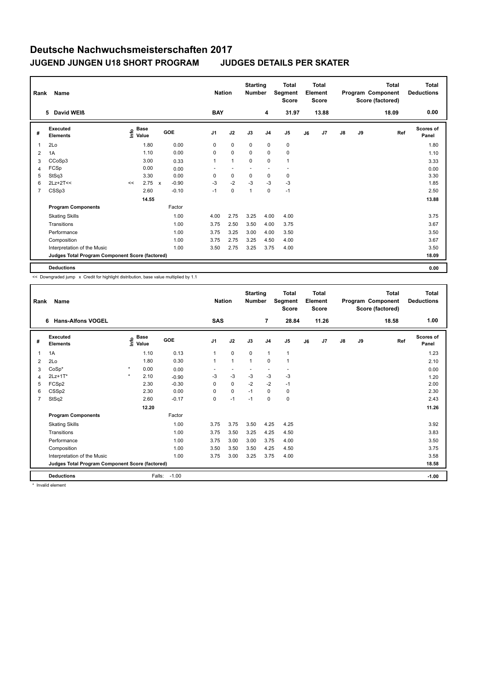| Name<br>Rank   |                                                 |                              |             |              |         | <b>Nation</b>  |              | <b>Starting</b><br><b>Number</b> |                | <b>Total</b><br>Segment<br><b>Score</b> | <b>Total</b><br>Element<br><b>Score</b> |       | <b>Total</b><br>Program Component<br>Score (factored) |    |       | Total<br><b>Deductions</b> |
|----------------|-------------------------------------------------|------------------------------|-------------|--------------|---------|----------------|--------------|----------------------------------|----------------|-----------------------------------------|-----------------------------------------|-------|-------------------------------------------------------|----|-------|----------------------------|
|                | 5 David WEIß                                    |                              |             |              |         | <b>BAY</b>     |              |                                  | 4              | 31.97                                   |                                         | 13.88 |                                                       |    | 18.09 | 0.00                       |
| #              | Executed<br><b>Elements</b>                     | e <sup>Base</sup><br>⊆ Value | <b>Base</b> |              | GOE     | J <sub>1</sub> | J2           | J3                               | J <sub>4</sub> | J <sub>5</sub>                          | J6                                      | J7    | $\mathsf{J}8$                                         | J9 | Ref   | Scores of<br>Panel         |
| $\overline{1}$ | 2Lo                                             |                              | 1.80        |              | 0.00    | 0              | $\mathbf 0$  | $\mathbf 0$                      | 0              | 0                                       |                                         |       |                                                       |    |       | 1.80                       |
| $\overline{2}$ | 1A                                              |                              | 1.10        |              | 0.00    | 0              | $\mathbf 0$  | 0                                | 0              | $\pmb{0}$                               |                                         |       |                                                       |    |       | 1.10                       |
| 3              | CCoSp3                                          |                              | 3.00        |              | 0.33    | $\mathbf{1}$   | $\mathbf{1}$ | $\mathbf 0$                      | 0              | $\overline{1}$                          |                                         |       |                                                       |    |       | 3.33                       |
| 4              | FCSp                                            |                              | 0.00        |              | 0.00    |                |              |                                  |                |                                         |                                         |       |                                                       |    |       | 0.00                       |
| 5              | StSq3                                           |                              | 3.30        |              | 0.00    | 0              | $\mathbf 0$  | $\mathbf 0$                      | 0              | 0                                       |                                         |       |                                                       |    |       | 3.30                       |
| 6              | $2Lz+2T<<$                                      | <<                           | 2.75        | $\mathbf{x}$ | $-0.90$ | $-3$           | $-2$         | $-3$                             | $-3$           | $-3$                                    |                                         |       |                                                       |    |       | 1.85                       |
| 7              | CSSp3                                           |                              | 2.60        |              | $-0.10$ | $-1$           | $\mathbf 0$  | $\mathbf{1}$                     | $\mathbf 0$    | $-1$                                    |                                         |       |                                                       |    |       | 2.50                       |
|                |                                                 |                              | 14.55       |              |         |                |              |                                  |                |                                         |                                         |       |                                                       |    |       | 13.88                      |
|                | <b>Program Components</b>                       |                              |             |              | Factor  |                |              |                                  |                |                                         |                                         |       |                                                       |    |       |                            |
|                | <b>Skating Skills</b>                           |                              |             |              | 1.00    | 4.00           | 2.75         | 3.25                             | 4.00           | 4.00                                    |                                         |       |                                                       |    |       | 3.75                       |
|                | Transitions                                     |                              |             |              | 1.00    | 3.75           | 2.50         | 3.50                             | 4.00           | 3.75                                    |                                         |       |                                                       |    |       | 3.67                       |
|                | Performance                                     |                              |             |              | 1.00    | 3.75           | 3.25         | 3.00                             | 4.00           | 3.50                                    |                                         |       |                                                       |    |       | 3.50                       |
|                | Composition                                     |                              |             |              | 1.00    | 3.75           | 2.75         | 3.25                             | 4.50           | 4.00                                    |                                         |       |                                                       |    |       | 3.67                       |
|                | Interpretation of the Music                     |                              |             |              | 1.00    | 3.50           | 2.75         | 3.25                             | 3.75           | 4.00                                    |                                         |       |                                                       |    |       | 3.50                       |
|                | Judges Total Program Component Score (factored) |                              |             |              |         |                |              |                                  |                |                                         |                                         |       |                                                       |    |       | 18.09                      |
|                | <b>Deductions</b>                               |                              |             |              |         |                |              |                                  |                |                                         |                                         |       |                                                       |    |       | 0.00                       |

<< Downgraded jump x Credit for highlight distribution, base value multiplied by 1.1

|                | Name<br>Rank                                    |         |                       |            |                | <b>Nation</b>  | <b>Starting</b><br><b>Number</b> |                | <b>Total</b><br><b>Total</b><br>Segment<br>Element<br><b>Score</b><br><b>Score</b> |    |       | Total<br>Program Component<br>Score (factored) |    |       | <b>Total</b><br><b>Deductions</b> |
|----------------|-------------------------------------------------|---------|-----------------------|------------|----------------|----------------|----------------------------------|----------------|------------------------------------------------------------------------------------|----|-------|------------------------------------------------|----|-------|-----------------------------------|
|                | <b>Hans-Alfons VOGEL</b><br>6                   |         |                       |            | <b>SAS</b>     |                |                                  | 7              | 28.84                                                                              |    | 11.26 |                                                |    | 18.58 | 1.00                              |
| #              | Executed<br><b>Elements</b>                     |         | $\sum_{i=1}^{n}$ Base | <b>GOE</b> | J <sub>1</sub> | J2             | J3                               | J <sub>4</sub> | J <sub>5</sub>                                                                     | J6 | J7    | $\mathsf{J}8$                                  | J9 | Ref   | <b>Scores of</b><br>Panel         |
| $\mathbf{1}$   | 1A                                              |         | 1.10                  | 0.13       | $\mathbf{1}$   | $\mathbf 0$    | $\mathbf 0$                      | $\mathbf{1}$   | $\mathbf{1}$                                                                       |    |       |                                                |    |       | 1.23                              |
| 2              | 2Lo                                             |         | 1.80                  | 0.30       | 1              | $\overline{1}$ | $\overline{1}$                   | $\mathbf 0$    | $\mathbf{1}$                                                                       |    |       |                                                |    |       | 2.10                              |
| 3              | $CoSp*$                                         | $\star$ | 0.00                  | 0.00       |                |                |                                  |                |                                                                                    |    |       |                                                |    |       | 0.00                              |
| $\overline{4}$ | $2Lz+1T*$                                       | $\star$ | 2.10                  | $-0.90$    | -3             | $-3$           | $-3$                             | $-3$           | -3                                                                                 |    |       |                                                |    |       | 1.20                              |
| 5              | FCSp2                                           |         | 2.30                  | $-0.30$    | $\Omega$       | $\mathbf 0$    | $-2$                             | $-2$           | $-1$                                                                               |    |       |                                                |    |       | 2.00                              |
| 6              | CSS <sub>p2</sub>                               |         | 2.30                  | 0.00       | 0              | $\mathbf 0$    | $-1$                             | $\mathbf 0$    | $\mathbf 0$                                                                        |    |       |                                                |    |       | 2.30                              |
| $\overline{7}$ | StSq2                                           |         | 2.60                  | $-0.17$    | 0              | $-1$           | $-1$                             | 0              | $\mathbf 0$                                                                        |    |       |                                                |    |       | 2.43                              |
|                |                                                 |         | 12.20                 |            |                |                |                                  |                |                                                                                    |    |       |                                                |    |       | 11.26                             |
|                | <b>Program Components</b>                       |         |                       | Factor     |                |                |                                  |                |                                                                                    |    |       |                                                |    |       |                                   |
|                | <b>Skating Skills</b>                           |         |                       | 1.00       | 3.75           | 3.75           | 3.50                             | 4.25           | 4.25                                                                               |    |       |                                                |    |       | 3.92                              |
|                | Transitions                                     |         |                       | 1.00       | 3.75           | 3.50           | 3.25                             | 4.25           | 4.50                                                                               |    |       |                                                |    |       | 3.83                              |
|                | Performance                                     |         |                       | 1.00       | 3.75           | 3.00           | 3.00                             | 3.75           | 4.00                                                                               |    |       |                                                |    |       | 3.50                              |
|                | Composition                                     |         |                       | 1.00       | 3.50           | 3.50           | 3.50                             | 4.25           | 4.50                                                                               |    |       |                                                |    |       | 3.75                              |
|                | Interpretation of the Music                     |         |                       | 1.00       | 3.75           | 3.00           | 3.25                             | 3.75           | 4.00                                                                               |    |       |                                                |    |       | 3.58                              |
|                | Judges Total Program Component Score (factored) |         |                       |            |                |                |                                  |                |                                                                                    |    |       |                                                |    |       | 18.58                             |
|                | <b>Deductions</b>                               |         | Falls:                | $-1.00$    |                |                |                                  |                |                                                                                    |    |       |                                                |    |       | $-1.00$                           |

\* Invalid element